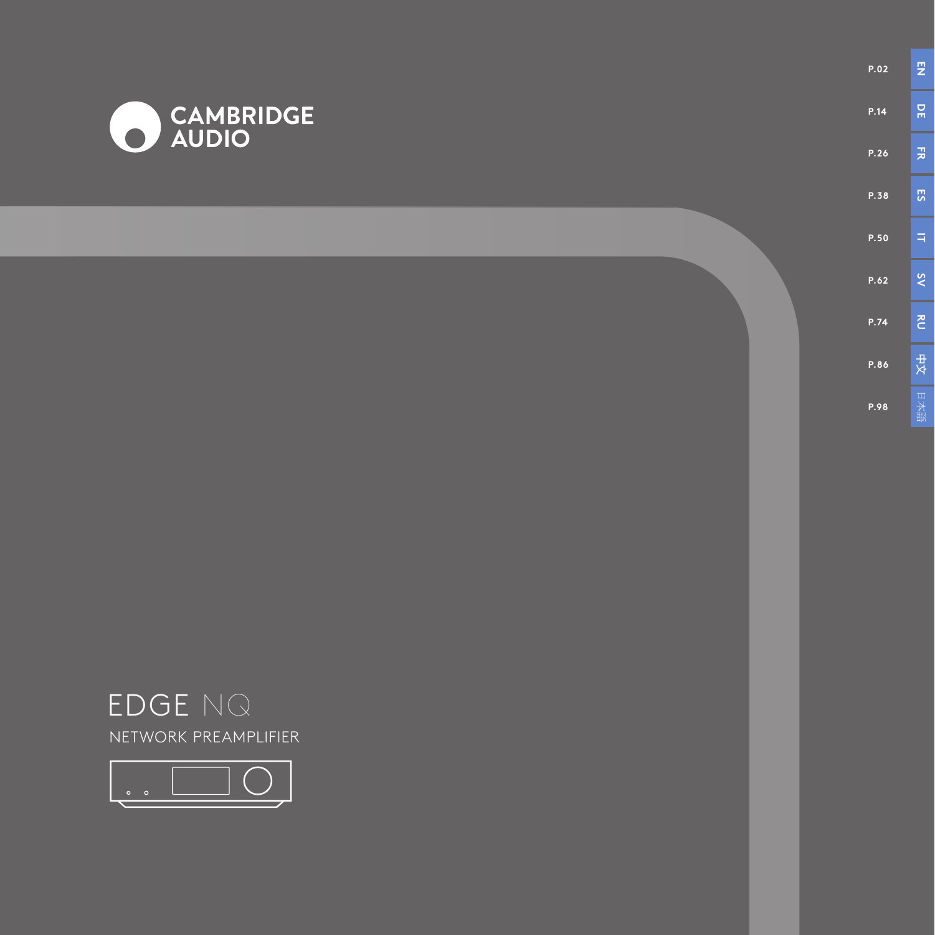

**P.02**

**P.14**

**P.26**

**P.38**

**P.50**

**P.62**

**P.74**

**P.86**

**P.98**



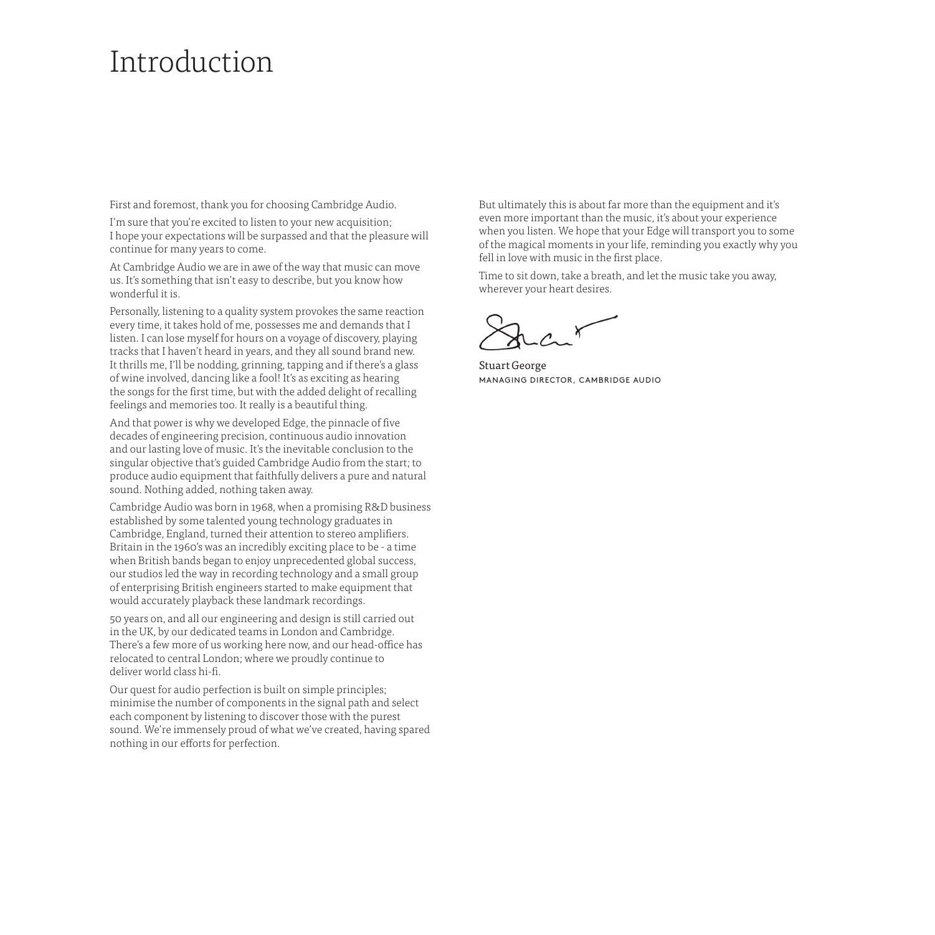### Introduction

First and foremost, thank you for choosing Cambridge Audio.

I'm sure that you're excited to listen to your new acquisition; I hope your expectations will be surpassed and that the pleasure will continue for many years to come.

At Cambridge Audio we are in awe of the way that music can move us. It's something that isn't easy to describe, but you know how wonderful it is.

Personally, listening to a quality system provokes the same reaction every time, it takes hold of me, possesses me and demands that I listen. I can lose myself for hours on a voyage of discovery, playing tracks that I haven't heard in years, and they all sound brand new. It thrills me, I'll be nodding, grinning, tapping and if there's a glass of wine involved, dancing like a fool! It's as exciting as hearing the songs for the first time, but with the added delight of recalling feelings and memories too. It really is a beautiful thing.

And that power is why we developed Edge, the pinnacle of five decades of engineering precision, continuous audio innovation and our lasting love of music. It's the inevitable conclusion to the singular objective that's guided Cambridge Audio from the start; to produce audio equipment that faithfully delivers a pure and natural sound. Nothing added, nothing taken away.

Cambridge Audio was born in 1968, when a promising R&D business established by some talented young technology graduates in Cambridge, England, turned their attention to stereo amplifiers. Britain in the 1960's was an incredibly exciting place to be - a time when British bands began to enjoy unprecedented global success, our studios led the way in recording technology and a small group of enterprising British engineers started to make equipment that would accurately playback these landmark recordings.

50 years on, and all our engineering and design is still carried out in the UK, by our dedicated teams in London and Cambridge. There's a few more of us working here now, and our head-office has relocated to central London; where we proudly continue to deliver world class hi-fi.

Our quest for audio perfection is built on simple principles; minimise the number of components in the signal path and select each component by listening to discover those with the purest sound. We're immensely proud of what we've created, having spared nothing in our efforts for perfection.

But ultimately this is about far more than the equipment and it's even more important than the music, it's about your experience when you listen. We hope that your Edge will transport you to some of the magical moments in your life, reminding you exactly why you fell in love with music in the first place.

Time to sit down, take a breath, and let the music take you away, wherever your heart desires.

Stuart George MANAGING DIRECTOR, CAMBRIDGE AUDIO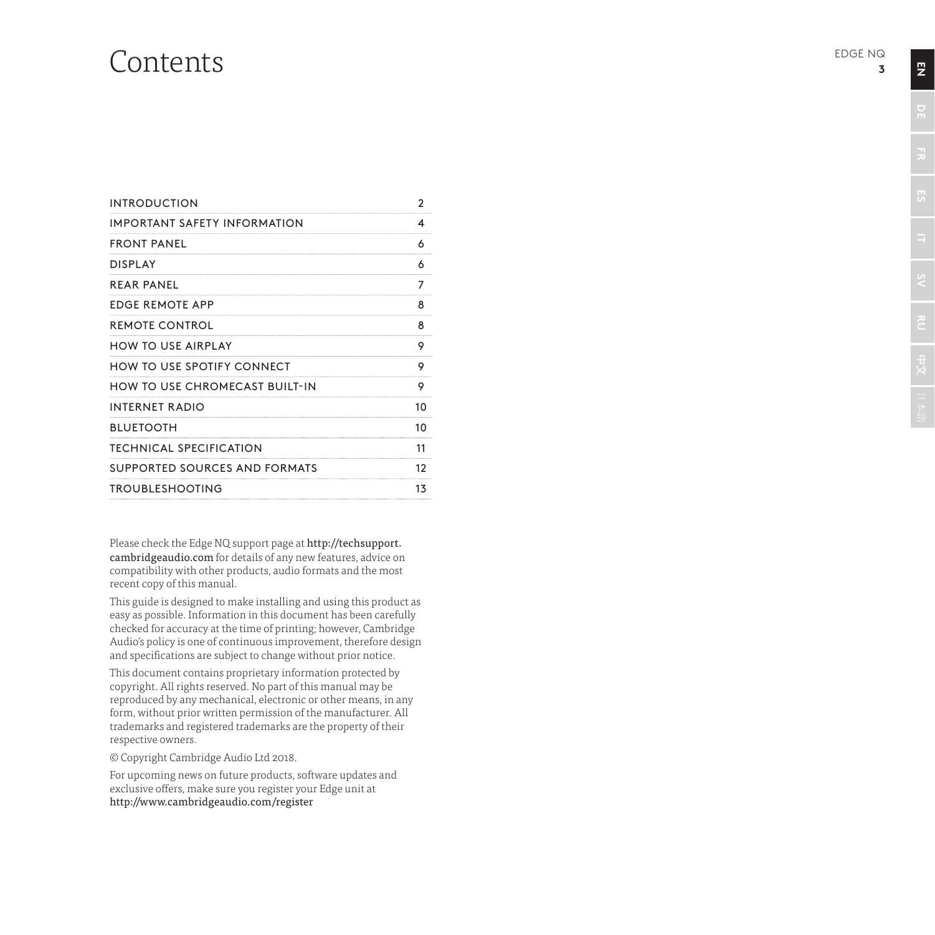### Contents

| <b>INTRODUCTION</b>                   | 2  |
|---------------------------------------|----|
| IMPORTANT SAFETY INFORMATION          | 4  |
| <b>FRONT PANEL</b>                    | 6  |
| <b>DISPLAY</b>                        | 6  |
| REAR PANEL                            | 7  |
| <b>FDGF REMOTE APP</b>                | 8  |
| REMOTE CONTROL                        | 8  |
| <b>HOW TO USE AIRPLAY</b>             | Q  |
| HOW TO USE SPOTIFY CONNECT            | 9  |
| <b>HOW TO USE CHROMECAST BUILT-IN</b> | 9  |
| <b>INTERNET RADIO</b>                 | 10 |
| <b>BLUETOOTH</b>                      | 10 |
| <b>TECHNICAL SPECIFICATION</b>        | 11 |
| SUPPORTED SOURCES AND FORMATS         | 12 |
| <b>TROUBLESHOOTING</b>                | 13 |

Please check the Edge NQ support page at http://techsupport. cambridgeaudio.com for details of any new features, advice on compatibility with other products, audio formats and the most recent copy of this manual.

This guide is designed to make installing and using this product as easy as possible. Information in this document has been carefully checked for accuracy at the time of printing; however, Cambridge Audio's policy is one of continuous improvement, therefore design and specifications are subject to change without prior notice.

This document contains proprietary information protected by copyright. All rights reserved. No part of this manual may be reproduced by any mechanical, electronic or other means, in any form, without prior written permission of the manufacturer. All trademarks and registered trademarks are the property of their respective owners.

© Copyright Cambridge Audio Ltd 2018.

For upcoming news on future products, software updates and exclusive offers, make sure you register your Edge unit at http://www.cambridgeaudio.com/register

 $\overline{z}$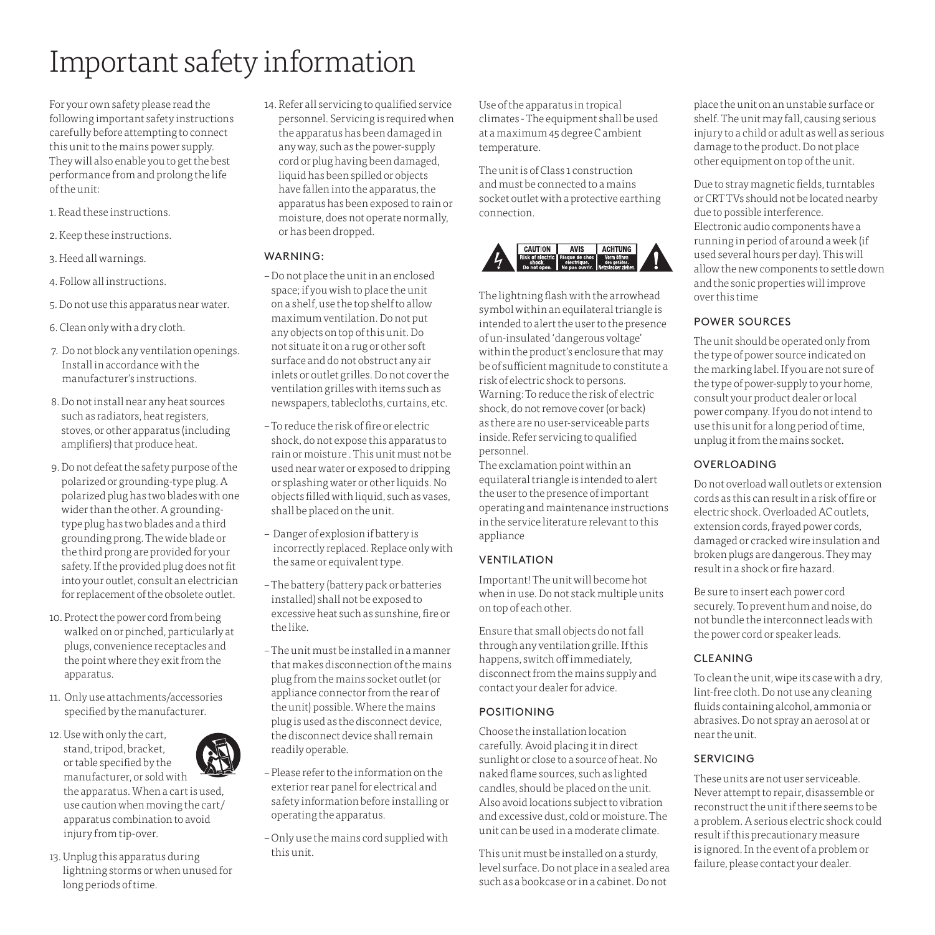# Important safety information

For your own safety please read the following important safety instructions carefully before attempting to connect this unit to the mains power supply. They will also enable you to get the best performance from and prolong the life of the unit:

- 1. Read these instructions.
- 2. Keep these instructions.
- 3. Heed all warnings.
- 4. Follow all instructions.
- 5. Do not use this apparatus near water.
- 6. Clean only with a dry cloth.
- 7. Do not block any ventilation openings. Install in accordance with the manufacturer's instructions.
- 8. Do not install near any heat sources such as radiators, heat registers, stoves, or other apparatus (including amplifiers) that produce heat.
- 9. Do not defeat the safety purpose of the polarized or grounding-type plug. A polarized plug has two blades with one wider than the other. A groundingtype plug has two blades and a third grounding prong. The wide blade or the third prong are provided for your safety. If the provided plug does not fit into your outlet, consult an electrician for replacement of the obsolete outlet.
- 10. Protect the power cord from being walked on or pinched, particularly at plugs, convenience receptacles and the point where they exit from the apparatus.
- 11. Only use attachments/accessories specified by the manufacturer.
- 12. Use with only the cart, stand, tripod, bracket, or table specified by the manufacturer, or sold with the apparatus. When a cart is used, use caution when moving the cart/ apparatus combination to avoid injury from tip-over.
- 13. Unplug this apparatus during lightning storms or when unused for long periods of time.

14. Refer all servicing to qualified service personnel. Servicing is required when the apparatus has been damaged in any way, such as the power-supply cord or plug having been damaged, liquid has been spilled or objects have fallen into the apparatus, the apparatus has been exposed to rain or moisture, does not operate normally, or has been dropped.

#### WARNING:

- Do not place the unit in an enclosed space; if you wish to place the unit on a shelf, use the top shelf to allow maximum ventilation. Do not put any objects on top of this unit. Do not situate it on a rug or other soft surface and do not obstruct any air inlets or outlet grilles. Do not cover the ventilation grilles with items such as newspapers, tablecloths, curtains, etc.
- To reduce the risk of fire or electric shock, do not expose this apparatus to rain or moisture . This unit must not be used near water or exposed to dripping or splashing water or other liquids. No objects filled with liquid, such as vases, shall be placed on the unit.
- Danger of explosion if battery is incorrectly replaced. Replace only with the same or equivalent type.
- The battery (battery pack or batteries installed) shall not be exposed to excessive heat such as sunshine, fire or the like.
- The unit must be installed in a manner that makes disconnection of the mains plug from the mains socket outlet (or appliance connector from the rear of the unit) possible. Where the mains plug is used as the disconnect device, the disconnect device shall remain readily operable.
- Please refer to the information on the exterior rear panel for electrical and safety information before installing or operating the apparatus.
- Only use the mains cord supplied with this unit.

Use of the apparatus in tropical climates - The equipment shall be used at a maximum 45 degree C ambient temperature.

The unit is of Class 1 construction and must be connected to a mains socket outlet with a protective earthing connection.



The lightning flash with the arrowhead symbol within an equilateral triangle is intended to alert the user to the presence of un-insulated 'dangerous voltage' within the product's enclosure that may be of sufficient magnitude to constitute a risk of electric shock to persons. Warning: To reduce the risk of electric shock, do not remove cover (or back) as there are no user-serviceable parts inside. Refer servicing to qualified personnel.

The exclamation point within an equilateral triangle is intended to alert the user to the presence of important operating and maintenance instructions in the service literature relevant to this appliance

#### VENTILATION

Important! The unit will become hot when in use. Do not stack multiple units on top of each other.

Ensure that small objects do not fall through any ventilation grille. If this happens, switch off immediately, disconnect from the mains supply and contact your dealer for advice.

#### POSITIONING

Choose the installation location carefully. Avoid placing it in direct sunlight or close to a source of heat. No naked flame sources, such as lighted candles, should be placed on the unit. Also avoid locations subject to vibration and excessive dust, cold or moisture. The unit can be used in a moderate climate.

This unit must be installed on a sturdy, level surface. Do not place in a sealed area such as a bookcase or in a cabinet. Do not

place the unit on an unstable surface or shelf. The unit may fall, causing serious injury to a child or adult as well as serious damage to the product. Do not place other equipment on top of the unit.

Due to stray magnetic fields, turntables or CRT TVs should not be located nearby due to possible interference. Electronic audio components have a running in period of around a week (if used several hours per day). This will allow the new components to settle down and the sonic properties will improve over this time

#### POWER SOURCES

The unit should be operated only from the type of power source indicated on the marking label. If you are not sure of the type of power-supply to your home, consult your product dealer or local power company. If you do not intend to use this unit for a long period of time, unplug it from the mains socket.

#### OVERLOADING

Do not overload wall outlets or extension cords as this can result in a risk of fire or electric shock. Overloaded AC outlets, extension cords, frayed power cords, damaged or cracked wire insulation and broken plugs are dangerous. They may result in a shock or fire hazard.

Be sure to insert each power cord securely. To prevent hum and noise, do not bundle the interconnect leads with the power cord or speaker leads.

#### CLEANING

To clean the unit, wipe its case with a dry, lint-free cloth. Do not use any cleaning fluids containing alcohol, ammonia or abrasives. Do not spray an aerosol at or near the unit.

#### SERVICING

These units are not user serviceable. Never attempt to repair, disassemble or reconstruct the unit if there seems to be a problem. A serious electric shock could result if this precautionary measure is ignored. In the event of a problem or failure, please contact your dealer.

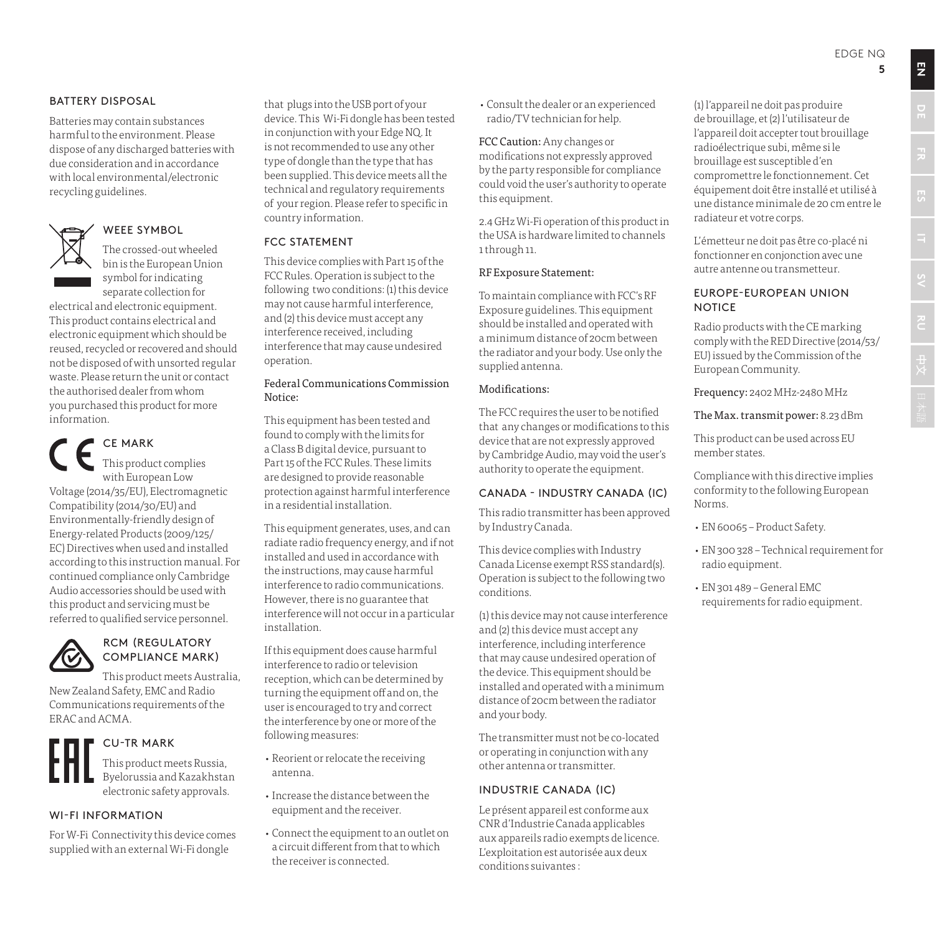#### BATTERY DISPOSAL

Batteries may contain substances harmful to the environment. Please dispose of any discharged batteries with due consideration and in accordance with local environmental/electronic recycling guidelines.



#### WEEE SYMBOL

The crossed-out wheeled bin is the European Union symbol for indicating separate collection for

electrical and electronic equipment. This product contains electrical and electronic equipment which should be reused, recycled or recovered and should not be disposed of with unsorted regular waste. Please return the unit or contact the authorised dealer from whom you purchased this product for more information.

CE MARK

This product complies with European Low Voltage (2014/35/EU), Electromagnetic Compatibility (2014/30/EU) and Environmentally-friendly design of Energy-related Products (2009/125/ EC) Directives when used and installed according to this instruction manual. For continued compliance only Cambridge Audio accessories should be used with this product and servicing must be referred to qualified service personnel.



#### RCM (REGULATORY COMPLIANCE MARK)

This product meets Australia, New Zealand Safety, EMC and Radio Communications requirements of the ERAC and ACMA.



#### CU-TR MARK

This product meets Russia, Byelorussia and Kazakhstan electronic safety approvals.

#### WI-FI INFORMATION

For W-Fi Connectivity this device comes supplied with an external Wi-Fi dongle

that plugs into the USB port of your device. This Wi-Fi dongle has been tested in conjunction with your Edge NQ. It is not recommended to use any other type of dongle than the type that has been supplied. This device meets all the technical and regulatory requirements of your region. Please refer to specific in country information.

#### FCC STATEMENT

This device complies with Part 15 of the FCC Rules. Operation is subject to the following two conditions: (1) this device may not cause harmful interference, and (2) this device must accept any interference received, including interference that may cause undesired operation.

#### Federal Communications Commission Notice:

This equipment has been tested and found to comply with the limits for a Class B digital device, pursuant to Part 15 of the FCC Rules. These limits are designed to provide reasonable protection against harmful interference in a residential installation.

This equipment generates, uses, and can radiate radio frequency energy, and if not installed and used in accordance with the instructions, may cause harmful interference to radio communications. However, there is no guarantee that interference will not occur in a particular installation.

If this equipment does cause harmful interference to radio or television reception, which can be determined by turning the equipment off and on, the user is encouraged to try and correct the interference by one or more of the following measures:

- Reorient or relocate the receiving antenna.
- Increase the distance between the equipment and the receiver.
- Connect the equipment to an outlet on a circuit different from that to which the receiver is connected.

• Consult the dealer or an experienced radio/TV technician for help.

FCC Caution: Any changes or modifications not expressly approved by the party responsible for compliance could void the user's authority to operate this equipment.

2.4 GHz Wi-Fi operation of this product in the USA is hardware limited to channels 1 through 11.

#### RF Exposure Statement:

To maintain compliance with FCC's RF Exposure guidelines. This equipment should be installed and operated with a minimum distance of 20cm between the radiator and your body. Use only the supplied antenna.

#### Modifications:

The FCC requires the user to be notified that any changes or modifications to this device that are not expressly approved by Cambridge Audio, may void the user's authority to operate the equipment.

#### CANADA - INDUSTRY CANADA (IC)

This radio transmitter has been approved by Industry Canada.

This device complies with Industry Canada License exempt RSS standard(s). Operation is subject to the following two conditions.

(1) this device may not cause interference and (2) this device must accept any interference, including interference that may cause undesired operation of the device. This equipment should be installed and operated with a minimum distance of 20cm between the radiator and your body.

The transmitter must not be co-located or operating in conjunction with any other antenna or transmitter.

#### INDUSTRIE CANADA (IC)

Le présent appareil est conforme aux CNR d'Industrie Canada applicables aux appareils radio exempts de licence. L'exploitation est autorisée aux deux conditions suivantes :

(1) l'appareil ne doit pas produire de brouillage, et (2) l'utilisateur de l'appareil doit accepter tout brouillage radioélectrique subi, même si le brouillage est susceptible d'en compromettre le fonctionnement. Cet équipement doit être installé et utilisé à une distance minimale de 20 cm entre le radiateur et votre corps.

L'émetteur ne doit pas être co-placé ni fonctionner en conjonction avec une autre antenne ou transmetteur.

#### EUROPE-EUROPEAN UNION **NOTICE**

Radio products with the CE marking comply with the RED Directive (2014/53/ EU) issued by the Commission of the European Community.

Frequency: 2402 MHz-2480 MHz

The Max. transmit power: 8.23 dBm

This product can be used across EU member states.

Compliance with this directive implies conformity to the following European Norms.

- EN 60065 Product Safety.
- EN 300 328 Technical requirement for radio equipment.
- EN 301 489 General EMC requirements for radio equipment.

**EN**

**ITE DE**<br>**ITE** 

**RU ES**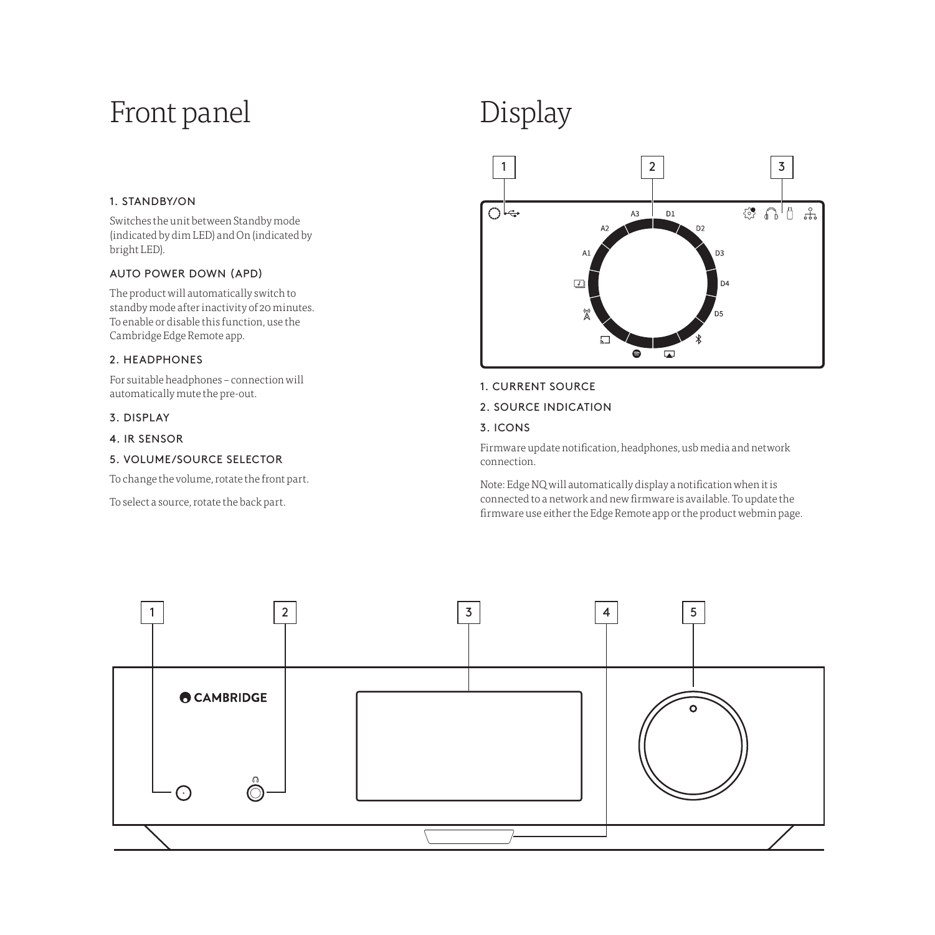## Front panel

#### 1. STANDBY/ON

Switches the unit between Standby mode (indicated by dim LED) and On (indicated by bright LED).

#### AUTO POWER DOWN (APD)

The product will automatically switch to standby mode after inactivity of 20 minutes. To enable or disable this function, use the Cambridge Edge Remote app.

#### 2. HEADPHONES

For suitable headphones – connection will automatically mute the pre-out.

#### 3. DISPLAY

4. IR SENSOR

#### 5. VOLUME/SOURCE SELECTOR

To change the volume, rotate the front part.

To select a source, rotate the back part.

# Display



#### 1. CURRENT SOURCE

2. SOURCE INDICATION

#### 3. ICONS

Firmware update notification, headphones, usb media and network connection.

Note: Edge NQ will automatically display a notification when it is connected to a network and new firmware is available. To update the firmware use either the Edge Remote app or the product webmin page.

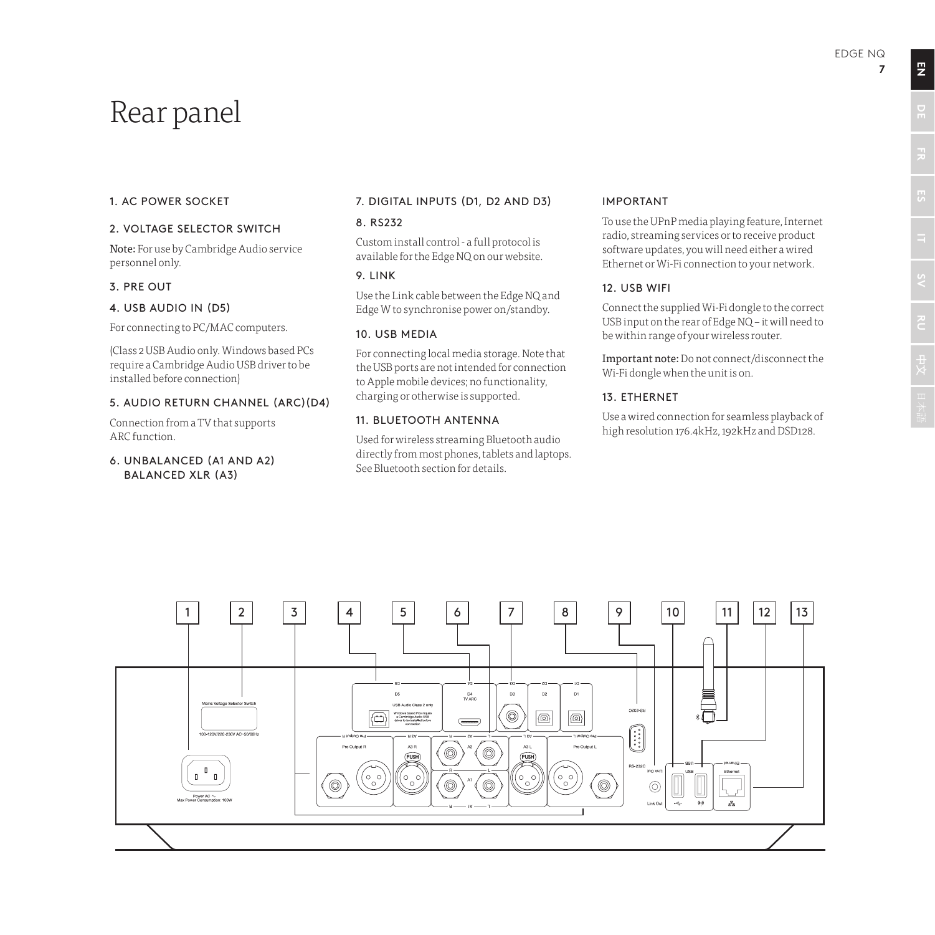### Rear panel

#### 1. AC POWER SOCKET

#### 2. VOLTAGE SELECTOR SWITCH

Note: For use by Cambridge Audio service personnel only.

#### 3. PRE OUT

#### 4. USB AUDIO IN (D5)

For connecting to PC/MAC computers.

(Class 2 USB Audio only. Windows based PCs require a Cambridge Audio USB driver to be installed before connection)

#### 5. AUDIO RETURN CHANNEL (ARC)(D4)

Connection from a TV that supports ARC function.

#### 6. UNBALANCED (A1 AND A2) BALANCED XLR (A3)

#### 7. DIGITAL INPUTS (D1, D2 AND D3)

#### 8. RS232

Custom install control - a full protocol is available for the Edge NQ on our website.

#### 9. LINK

Use the Link cable between the Edge NQ and Edge W to synchronise power on/standby.

#### 10. USB MEDIA

For connecting local media storage. Note that the USB ports are not intended for connection to Apple mobile devices; no functionality, charging or otherwise is supported.

#### 11. BLUETOOTH ANTENNA

Used for wireless streaming Bluetooth audio directly from most phones, tablets and laptops. See Bluetooth section for details.

#### IMPORTANT

To use the UPnP media playing feature, Internet radio, streaming services or to receive product software updates, you will need either a wired Ethernet or Wi-Fi connection to your network.

#### 12. USB WIFI

Connect the supplied Wi-Fi dongle to the correct USB input on the rear of Edge NQ – it will need to be within range of your wireless router.

Important note: Do not connect/disconnect the Wi-Fi dongle when the unit is on.

#### 13. ETHERNET

Use a wired connection for seamless playback of high resolution 176.4kHz, 192kHz and DSD128.



**EN**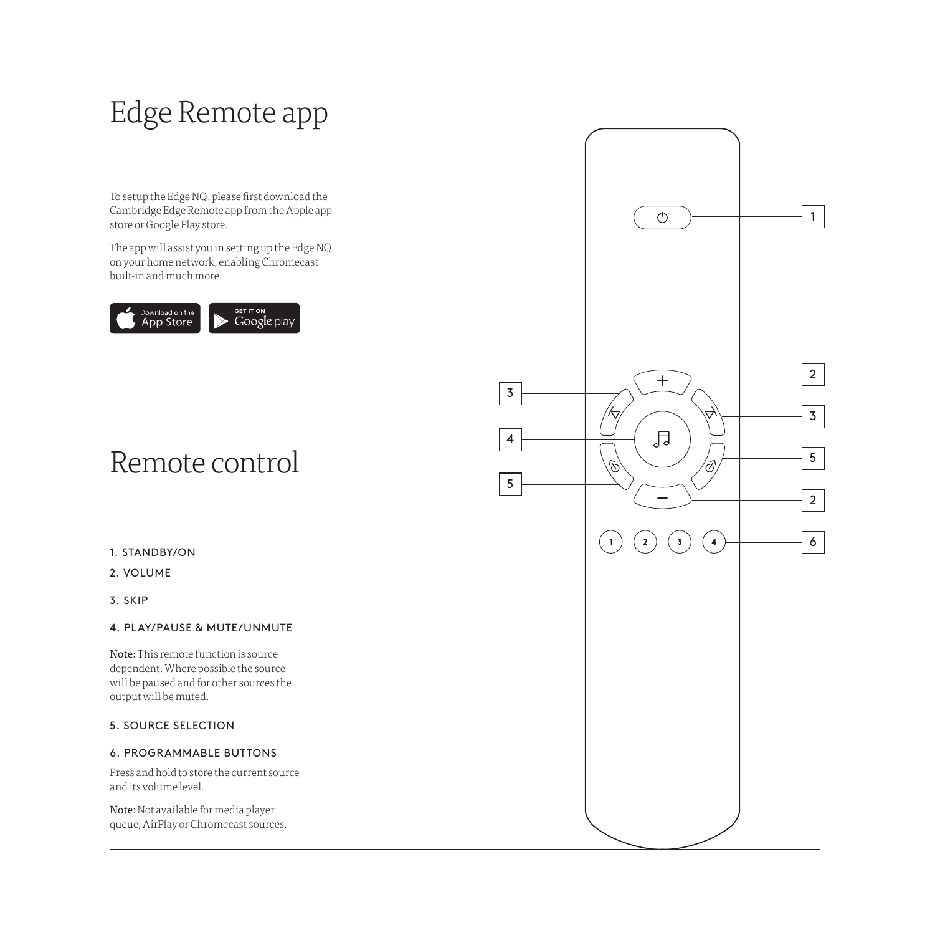## Edge Remote app

To setup the Edge NQ, please first download the Cambridge Edge Remote app from the Apple app store or Google Play store.

The app will assist you in setting up the Edge NQ on your home network, enabling Chromecast built-in and much more.



## Remote control

#### 1. STANDBY/ON

#### 2. VOLUME

3. SKIP

#### 4. PLAY/PAUSE & MUTE/UNMUTE

Note: This remote function is source dependent. Where possible the source will be paused and for other sources the output will be muted.

#### 5. SOURCE SELECTION

#### 6. PROGRAMMABLE BUTTONS

Press and hold to store the current source and its volume level.

Note: Not available for media player queue, AirPlay or Chromecast sources.

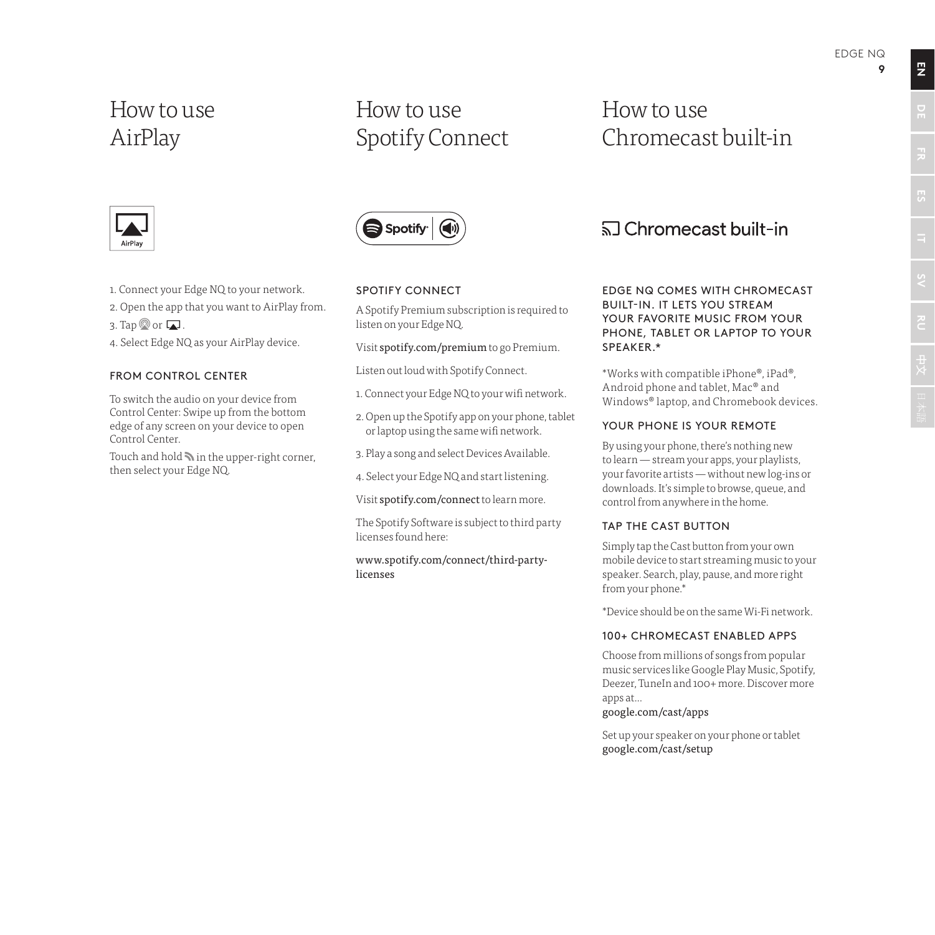**9**

### How to use AirPlay

### How to use Spotify Connect

### How to use Chromecast built-in



- 1. Connect your Edge NQ to your network.
- 2. Open the app that you want to AirPlay from.
- 3. Tap  $\otimes$  or  $\Box$ .
- 4. Select Edge NQ as your AirPlay device.

#### FROM CONTROL CENTER

To switch the audio on your device from Control Center: Swipe up from the bottom edge of any screen on your device to open Control Center.

Touch and hold  $\blacktriangleright$  in the upper-right corner, then select your Edge NQ.



#### SPOTIFY CONNECT

A Spotify Premium subscription is required to listen on your Edge NQ.

Visit spotify.com/premium to go Premium.

Listen out loud with Spotify Connect.

- 1. Connect your Edge NQ to your wifi network.
- 2. Open up the Spotify app on your phone, tablet or laptop using the same wifi network.
- 3. Play a song and select Devices Available.
- 4. Select your Edge NQ and start listening.

Visit spotify.com/connect to learn more.

The Spotify Software is subject to third party licenses found here:

www.spotify.com/connect/third-partylicenses

### <u>কী</u> Chromecast built-in

EDGE NQ COMES WITH CHROMECAST BUILT-IN. IT LETS YOU STREAM YOUR FAVORITE MUSIC FROM YOUR PHONE, TABLET OR LAPTOP TO YOUR SPEAKER.\*

\*Works with compatible iPhone®, iPad®, Android phone and tablet, Mac® and Windows® laptop, and Chromebook devices.

#### YOUR PHONE IS YOUR REMOTE

By using your phone, there's nothing new to learn — stream your apps, your playlists, your favorite artists — without new log-ins or downloads. It's simple to browse, queue, and control from anywhere in the home.

#### TAP THE CAST BUTTON

Simply tap the Cast button from your own mobile device to start streaming music to your speaker. Search, play, pause, and more right from your phone.\*

\*Device should be on the same Wi-Fi network.

#### 100+ CHROMECAST ENABLED APPS

Choose from millions of songs from popular music services like Google Play Music, Spotify, Deezer, TuneIn and 100+ more. Discover more apps at...

#### google.com/cast/apps

Set up your speaker on your phone or tablet google.com/cast/setup

**EN**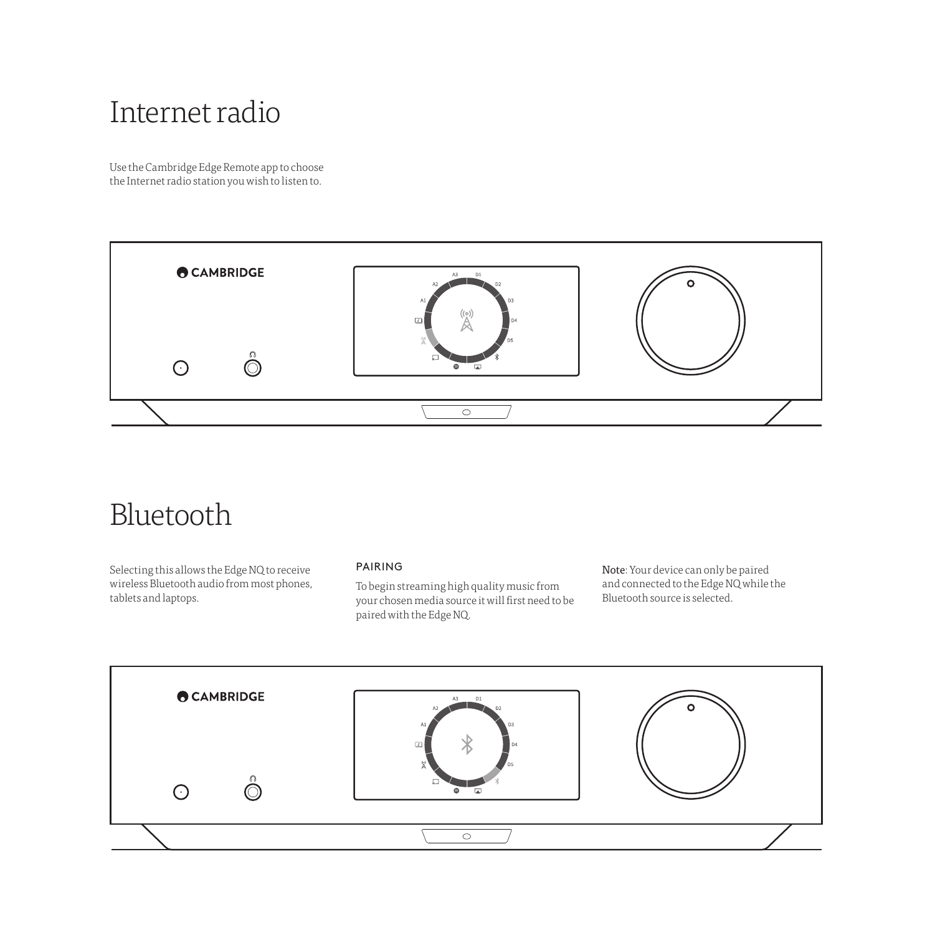### Internet radio

Use the Cambridge Edge Remote app to choose the Internet radio station you wish to listen to.



### Bluetooth

Selecting this allows the Edge NQ to receive wireless Bluetooth audio from most phones, tablets and laptops.

#### PAIRING

To begin streaming high quality music from your chosen media source it will first need to be paired with the Edge NQ.

Note: Your device can only be paired and connected to the Edge NQ while the Bluetooth source is selected.

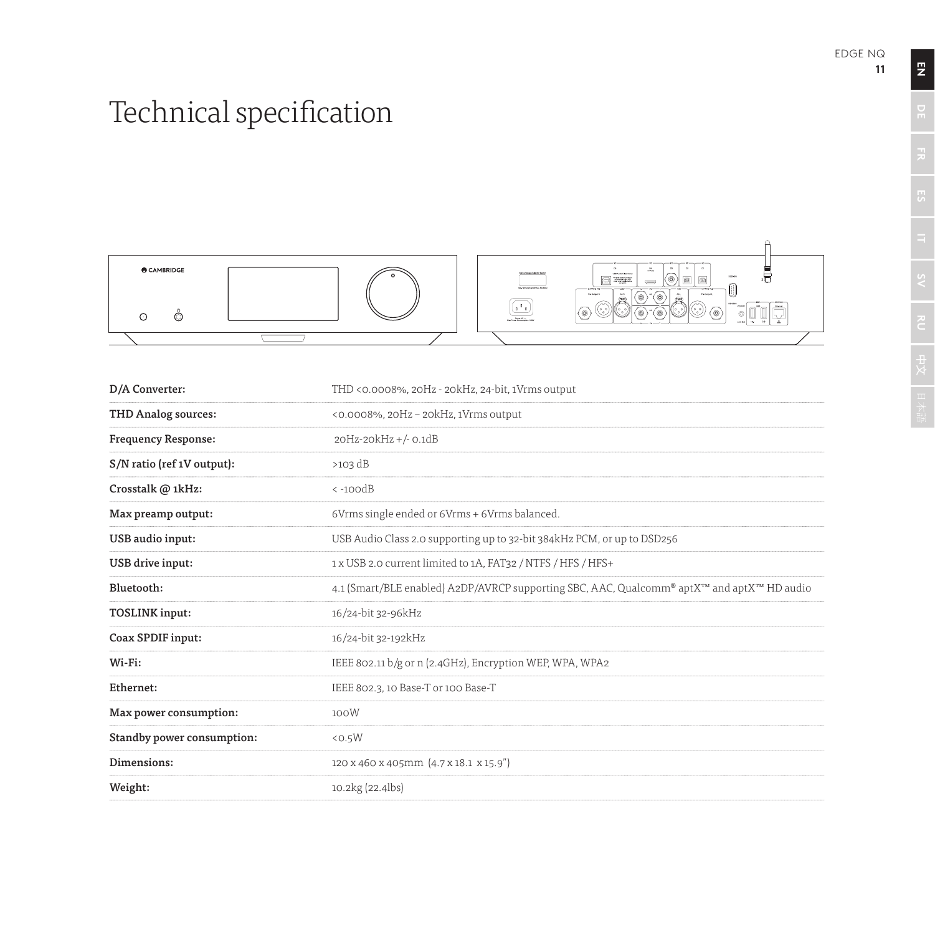# Technical specification



| D/A Converter:             | THD <0.0008%, 20Hz - 20kHz, 24-bit, 1Vrms output                                           |
|----------------------------|--------------------------------------------------------------------------------------------|
| THD Analog sources:        | <0.0008%, 20Hz - 20kHz, 1Vrms output                                                       |
| <b>Frequency Response:</b> | 20Hz-20kHz +/- 0.1dB                                                                       |
| S/N ratio (ref 1V output): | $>103$ dB                                                                                  |
| Crosstalk @ 1kHz:          | $\langle -100dB$                                                                           |
| Max preamp output:         | 6Vrms single ended or 6Vrms + 6Vrms balanced.                                              |
| USB audio input:           | USB Audio Class 2.0 supporting up to 32-bit 384kHz PCM, or up to DSD256                    |
| USB drive input:           | 1 x USB 2.0 current limited to 1A, FAT32 / NTFS / HFS / HFS+                               |
| Bluetooth:                 | 4.1 (Smart/BLE enabled) A2DP/AVRCP supporting SBC, AAC, Qualcomm® aptX™ and aptX™ HD audio |
| <b>TOSLINK</b> input:      | 16/24-bit 32-96kHz                                                                         |
| Coax SPDIF input:          | 16/24-bit 32-192kHz                                                                        |
| Wi-Fi:                     | IEEE 802.11 b/g or n (2.4GHz), Encryption WEP, WPA, WPA2                                   |
| Ethernet:                  | IEEE 802.3, 10 Base-T or 100 Base-T                                                        |
| Max power consumption:     | 100W                                                                                       |
| Standby power consumption: | < 0.5W                                                                                     |
| Dimensions:                | 120 x 460 x 405mm (4.7 x 18.1 x 15.9")                                                     |
| Weight:                    | 10.2kg (22.4lbs)                                                                           |

 $\overline{z}$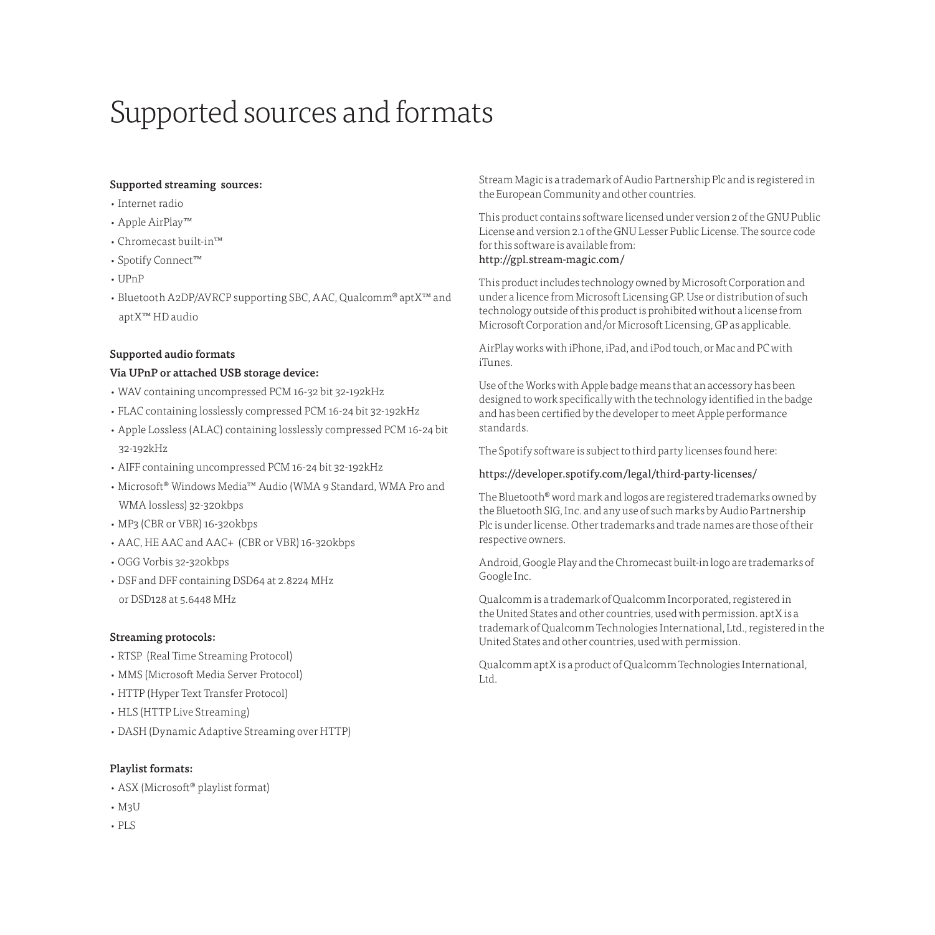## Supported sources and formats

#### Supported streaming sources:

- Internet radio
- Apple AirPlay™
- Chromecast built-in™
- Spotify Connect™
- UPnP
- Bluetooth A2DP/AVRCP supporting SBC, AAC, Qualcomm® aptX™ and aptX™ HD audio

#### Supported audio formats

#### Via UPnP or attached USB storage device:

- WAV containing uncompressed PCM 16-32 bit 32-192kHz
- FLAC containing losslessly compressed PCM 16-24 bit 32-192kHz
- Apple Lossless (ALAC) containing losslessly compressed PCM 16-24 bit 32-192kHz
- AIFF containing uncompressed PCM 16-24 bit 32-192kHz
- Microsoft® Windows Media™ Audio (WMA 9 Standard, WMA Pro and WMA lossless) 32-320kbps
- MP3 (CBR or VBR) 16-320kbps
- AAC, HE AAC and AAC+ (CBR or VBR) 16-320kbps
- OGG Vorbis 32-320kbps
- DSF and DFF containing DSD64 at 2.8224 MHz or DSD128 at 5.6448 MHz

#### Streaming protocols:

- RTSP (Real Time Streaming Protocol)
- MMS (Microsoft Media Server Protocol)
- HTTP (Hyper Text Transfer Protocol)
- HLS (HTTP Live Streaming)
- DASH (Dynamic Adaptive Streaming over HTTP)

#### Playlist formats:

- ASX (Microsoft® playlist format)
- M3U
- PLS

Stream Magic is a trademark of Audio Partnership Plc and is registered in the European Community and other countries.

This product contains software licensed under version 2 of the GNU Public License and version 2.1 of the GNU Lesser Public License. The source code for this software is available from: http://gpl.stream-magic.com/

This product includes technology owned by Microsoft Corporation and under a licence from Microsoft Licensing GP. Use or distribution of such technology outside of this product is prohibited without a license from Microsoft Corporation and/or Microsoft Licensing, GP as applicable.

AirPlay works with iPhone, iPad, and iPod touch, or Mac and PC with iTunes.

Use of the Works with Apple badge means that an accessory has been designed to work specifically with the technology identified in the badge and has been certified by the developer to meet Apple performance standards.

The Spotify software is subject to third party licenses found here:

#### https://developer.spotify.com/legal/third-party-licenses/

The Bluetooth® word mark and logos are registered trademarks owned by the Bluetooth SIG, Inc. and any use of such marks by Audio Partnership Plc is under license. Other trademarks and trade names are those of their respective owners.

Android, Google Play and the Chromecast built-in logo are trademarks of Google Inc.

Qualcomm is a trademark of Qualcomm Incorporated, registered in the United States and other countries, used with permission. aptX is a trademark of Qualcomm Technologies International, Ltd., registered in the United States and other countries, used with permission.

Qualcomm aptX is a product of Qualcomm Technologies International, Ltd.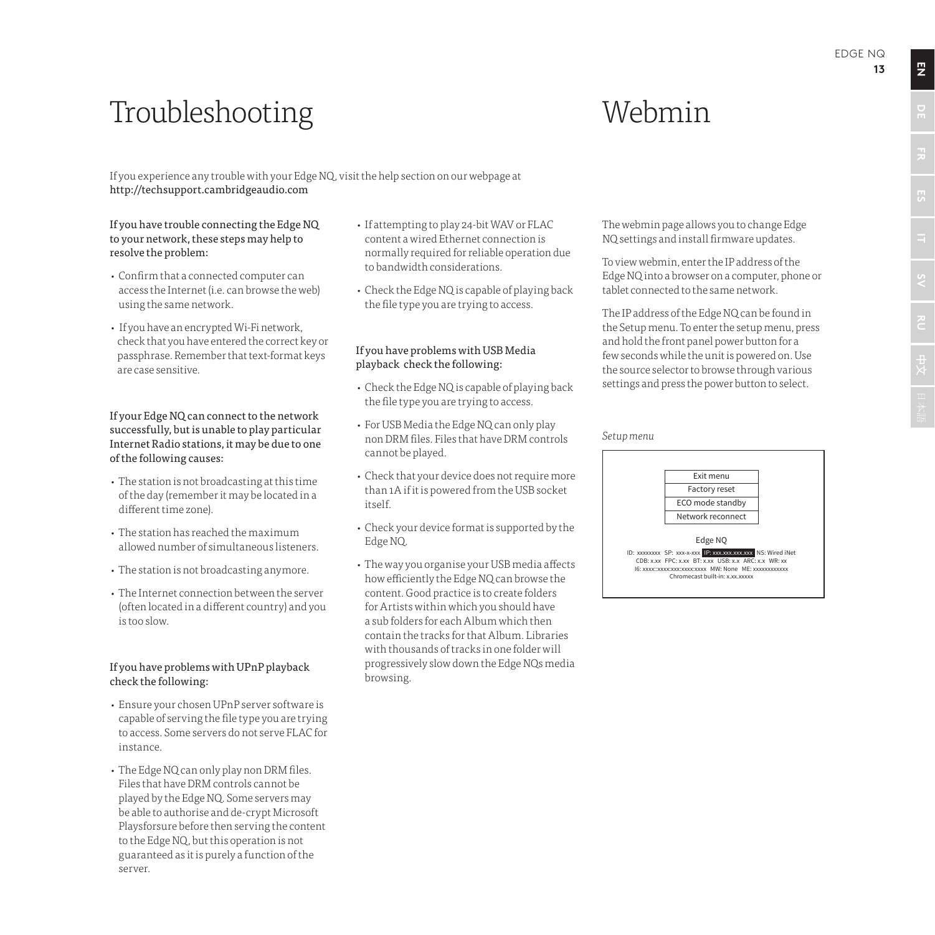## Webmin

Troubleshooting

If you experience any trouble with your Edge NQ, visit the help section on our webpage at http://techsupport.cambridgeaudio.com

#### If you have trouble connecting the Edge NQ to your network, these steps may help to resolve the problem:

- Confirm that a connected computer can access the Internet (i.e. can browse the web) using the same network.
- If you have an encrypted Wi-Fi network, check that you have entered the correct key or passphrase. Remember that text-format keys are case sensitive.

#### If your Edge NQ can connect to the network successfully, but is unable to play particular Internet Radio stations, it may be due to one of the following causes:

- The station is not broadcasting at this time of the day (remember it may be located in a different time zone).
- The station has reached the maximum allowed number of simultaneous listeners.
- The station is not broadcasting anymore.
- The Internet connection between the server (often located in a different country) and you is too slow.

#### If you have problems with UPnP playback check the following:

- Ensure your chosen UPnP server software is capable of serving the file type you are trying to access. Some servers do not serve FLAC for instance.
- The Edge NQ can only play non DRM files. Files that have DRM controls cannot be played by the Edge NQ. Some servers may be able to authorise and de-crypt Microsoft Playsforsure before then serving the content to the Edge NQ, but this operation is not guaranteed as it is purely a function of the server.
- If attempting to play 24-bit WAV or FLAC content a wired Ethernet connection is normally required for reliable operation due to bandwidth considerations.
- Check the Edge NQ is capable of playing back the file type you are trying to access.

#### If you have problems with USB Media playback check the following:

- Check the Edge NQ is capable of playing back the file type you are trying to access.
- For USB Media the Edge NQ can only play non DRM files. Files that have DRM controls cannot be played.
- Check that your device does not require more than 1A if it is powered from the USB socket itself.
- Check your device format is supported by the Edge NQ.
- The way you organise your USB media affects how efficiently the Edge NQ can browse the content. Good practice is to create folders for Artists within which you should have a sub folders for each Album which then contain the tracks for that Album. Libraries with thousands of tracks in one folder will progressively slow down the Edge NQs media browsing.

The webmin page allows you to change Edge NQ settings and install firmware updates.

To view webmin, enter the IP address of the Edge NQ into a browser on a computer, phone or tablet connected to the same network.

The IP address of the Edge NQ can be found in the Setup menu. To enter the setup menu, press and hold the front panel power button for a few seconds while the unit is powered on. Use the source selector to browse through various settings and press the power button to select.

#### *Setup menu*